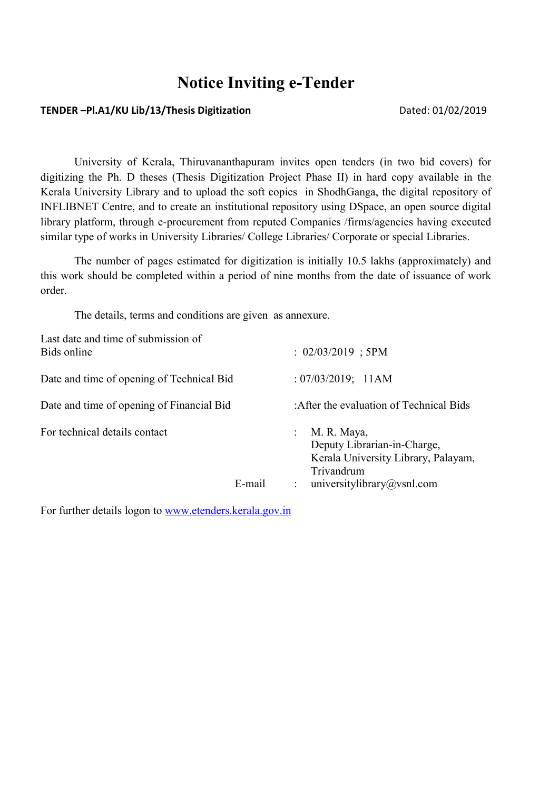# Notice Inviting e-Tender

#### TENDER -Pl.A1/KU Lib/13/Thesis Digitization Dated: 01/02/2019

University of Kerala, Thiruvananthapuram invites open tenders (in two bid covers) for digitizing the Ph. D theses (Thesis Digitization Project Phase II) in hard copy available in the Kerala University Library and to upload the soft copies in ShodhGanga, the digital repository of INFLIBNET Centre, and to create an institutional repository using DSpace, an open source digital library platform, through e-procurement from reputed Companies /firms/agencies having executed similar type of works in University Libraries/ College Libraries/ Corporate or special Libraries.

The number of pages estimated for digitization is initially 10.5 lakhs (approximately) and this work should be completed within a period of nine months from the date of issuance of work order.

The details, terms and conditions are given as annexure.

| Last date and time of submission of<br>Bids online |        | $: 02/03/2019$ ; 5PM                                                                                                                                       |
|----------------------------------------------------|--------|------------------------------------------------------------------------------------------------------------------------------------------------------------|
| Date and time of opening of Technical Bid          |        | : 07/03/2019; 11AM                                                                                                                                         |
| Date and time of opening of Financial Bid          |        | : After the evaluation of Technical Bids                                                                                                                   |
| For technical details contact                      | E-mail | M. R. Maya,<br>$\mathbb{R}^{\mathbb{Z}}$<br>Deputy Librarian-in-Charge,<br>Kerala University Library, Palayam,<br>Trivandrum<br>universitylibrary@vsnl.com |

For further details logon to www.etenders.kerala.gov.in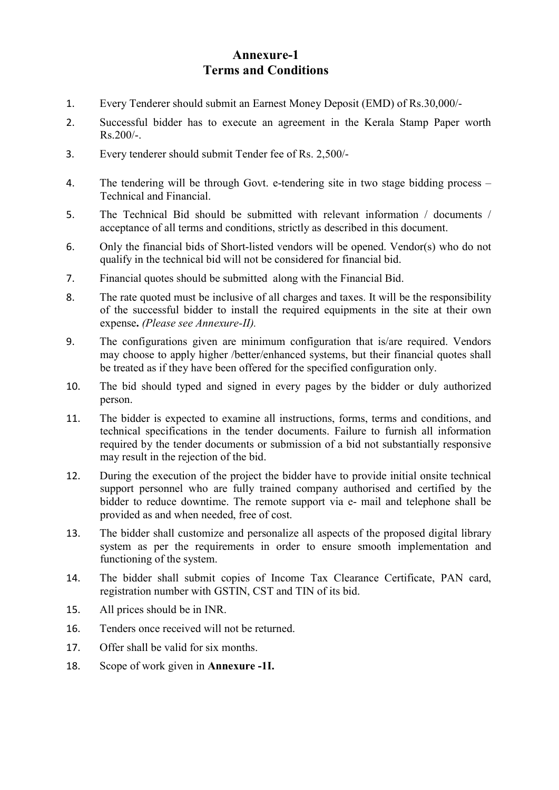# Annexure-1 Terms and Conditions

- 1. Every Tenderer should submit an Earnest Money Deposit (EMD) of Rs.30,000/-
- 2. Successful bidder has to execute an agreement in the Kerala Stamp Paper worth Rs.200/-.
- 3. Every tenderer should submit Tender fee of Rs. 2,500/-
- 4. The tendering will be through Govt. e-tendering site in two stage bidding process Technical and Financial.
- 5. The Technical Bid should be submitted with relevant information / documents / acceptance of all terms and conditions, strictly as described in this document.
- 6. Only the financial bids of Short-listed vendors will be opened. Vendor(s) who do not qualify in the technical bid will not be considered for financial bid.
- 7. Financial quotes should be submitted along with the Financial Bid.
- 8. The rate quoted must be inclusive of all charges and taxes. It will be the responsibility of the successful bidder to install the required equipments in the site at their own expense. (Please see Annexure-II).
- 9. The configurations given are minimum configuration that is/are required. Vendors may choose to apply higher /better/enhanced systems, but their financial quotes shall be treated as if they have been offered for the specified configuration only.
- 10. The bid should typed and signed in every pages by the bidder or duly authorized person.
- 11. The bidder is expected to examine all instructions, forms, terms and conditions, and technical specifications in the tender documents. Failure to furnish all information required by the tender documents or submission of a bid not substantially responsive may result in the rejection of the bid.
- 12. During the execution of the project the bidder have to provide initial onsite technical support personnel who are fully trained company authorised and certified by the bidder to reduce downtime. The remote support via e- mail and telephone shall be provided as and when needed, free of cost.
- 13. The bidder shall customize and personalize all aspects of the proposed digital library system as per the requirements in order to ensure smooth implementation and functioning of the system.
- 14. The bidder shall submit copies of Income Tax Clearance Certificate, PAN card, registration number with GSTIN, CST and TIN of its bid.
- 15. All prices should be in INR.
- 16. Tenders once received will not be returned.
- 17. Offer shall be valid for six months.
- 18. Scope of work given in Annexure -1I.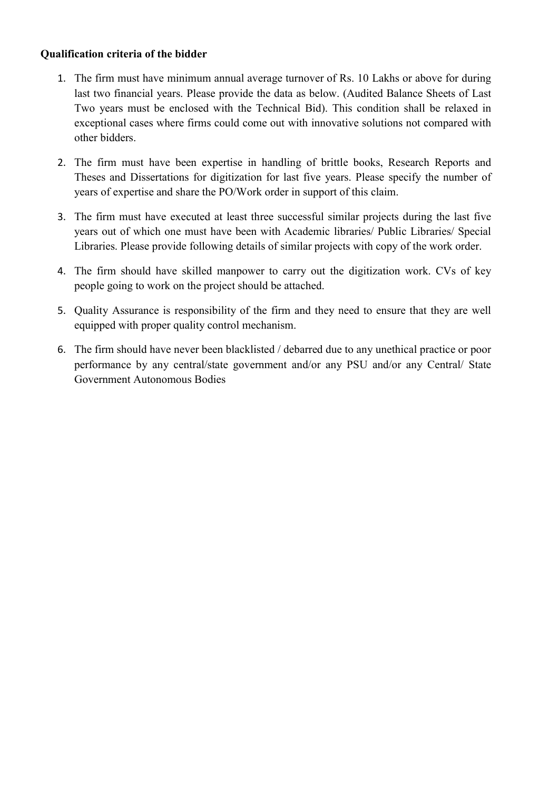### Qualification criteria of the bidder

- 1. The firm must have minimum annual average turnover of Rs. 10 Lakhs or above for during last two financial years. Please provide the data as below. (Audited Balance Sheets of Last Two years must be enclosed with the Technical Bid). This condition shall be relaxed in exceptional cases where firms could come out with innovative solutions not compared with other bidders.
- 2. The firm must have been expertise in handling of brittle books, Research Reports and Theses and Dissertations for digitization for last five years. Please specify the number of years of expertise and share the PO/Work order in support of this claim.
- 3. The firm must have executed at least three successful similar projects during the last five years out of which one must have been with Academic libraries/ Public Libraries/ Special Libraries. Please provide following details of similar projects with copy of the work order.
- 4. The firm should have skilled manpower to carry out the digitization work. CVs of key people going to work on the project should be attached.
- 5. Quality Assurance is responsibility of the firm and they need to ensure that they are well equipped with proper quality control mechanism.
- 6. The firm should have never been blacklisted / debarred due to any unethical practice or poor performance by any central/state government and/or any PSU and/or any Central/ State Government Autonomous Bodies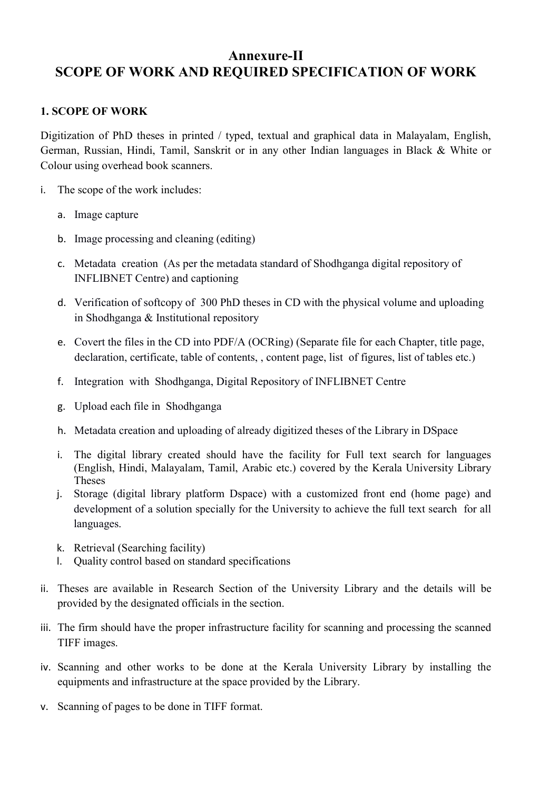# Annexure-II SCOPE OF WORK AND REQUIRED SPECIFICATION OF WORK

#### 1. SCOPE OF WORK

Digitization of PhD theses in printed / typed, textual and graphical data in Malayalam, English, German, Russian, Hindi, Tamil, Sanskrit or in any other Indian languages in Black & White or Colour using overhead book scanners.

- i. The scope of the work includes:
	- a. Image capture
	- b. Image processing and cleaning (editing)
	- c. Metadata creation (As per the metadata standard of Shodhganga digital repository of INFLIBNET Centre) and captioning
	- d. Verification of softcopy of 300 PhD theses in CD with the physical volume and uploading in Shodhganga & Institutional repository
	- e. Covert the files in the CD into PDF/A (OCRing) (Separate file for each Chapter, title page, declaration, certificate, table of contents, , content page, list of figures, list of tables etc.)
	- f. Integration with Shodhganga, Digital Repository of INFLIBNET Centre
	- g. Upload each file in Shodhganga
	- h. Metadata creation and uploading of already digitized theses of the Library in DSpace
	- i. The digital library created should have the facility for Full text search for languages (English, Hindi, Malayalam, Tamil, Arabic etc.) covered by the Kerala University Library Theses
	- j. Storage (digital library platform Dspace) with a customized front end (home page) and development of a solution specially for the University to achieve the full text search for all languages.
	- k. Retrieval (Searching facility)
	- l. Quality control based on standard specifications
- ii. Theses are available in Research Section of the University Library and the details will be provided by the designated officials in the section.
- iii. The firm should have the proper infrastructure facility for scanning and processing the scanned TIFF images.
- iv. Scanning and other works to be done at the Kerala University Library by installing the equipments and infrastructure at the space provided by the Library.
- v. Scanning of pages to be done in TIFF format.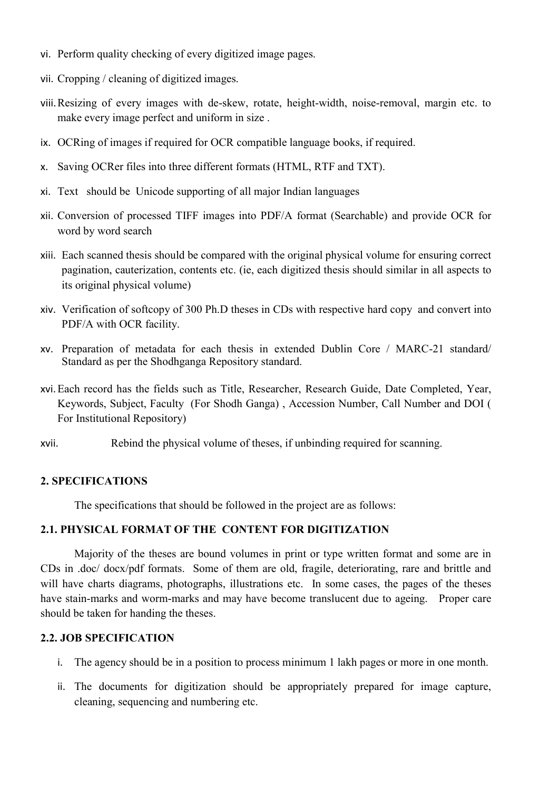- vi. Perform quality checking of every digitized image pages.
- vii. Cropping / cleaning of digitized images.
- viii.Resizing of every images with de-skew, rotate, height-width, noise-removal, margin etc. to make every image perfect and uniform in size .
- ix. OCRing of images if required for OCR compatible language books, if required.
- x. Saving OCRer files into three different formats (HTML, RTF and TXT).
- xi. Text should be Unicode supporting of all major Indian languages
- xii. Conversion of processed TIFF images into PDF/A format (Searchable) and provide OCR for word by word search
- xiii. Each scanned thesis should be compared with the original physical volume for ensuring correct pagination, cauterization, contents etc. (ie, each digitized thesis should similar in all aspects to its original physical volume)
- xiv. Verification of softcopy of 300 Ph.D theses in CDs with respective hard copy and convert into PDF/A with OCR facility.
- xv. Preparation of metadata for each thesis in extended Dublin Core / MARC-21 standard/ Standard as per the Shodhganga Repository standard.
- xvi.Each record has the fields such as Title, Researcher, Research Guide, Date Completed, Year, Keywords, Subject, Faculty (For Shodh Ganga) , Accession Number, Call Number and DOI ( For Institutional Repository)
- xvii. Rebind the physical volume of theses, if unbinding required for scanning.

#### 2. SPECIFICATIONS

The specifications that should be followed in the project are as follows:

#### 2.1. PHYSICAL FORMAT OF THE CONTENT FOR DIGITIZATION

Majority of the theses are bound volumes in print or type written format and some are in CDs in .doc/ docx/pdf formats. Some of them are old, fragile, deteriorating, rare and brittle and will have charts diagrams, photographs, illustrations etc. In some cases, the pages of the theses have stain-marks and worm-marks and may have become translucent due to ageing. Proper care should be taken for handing the theses.

#### 2.2. JOB SPECIFICATION

- i. The agency should be in a position to process minimum 1 lakh pages or more in one month.
- ii. The documents for digitization should be appropriately prepared for image capture, cleaning, sequencing and numbering etc.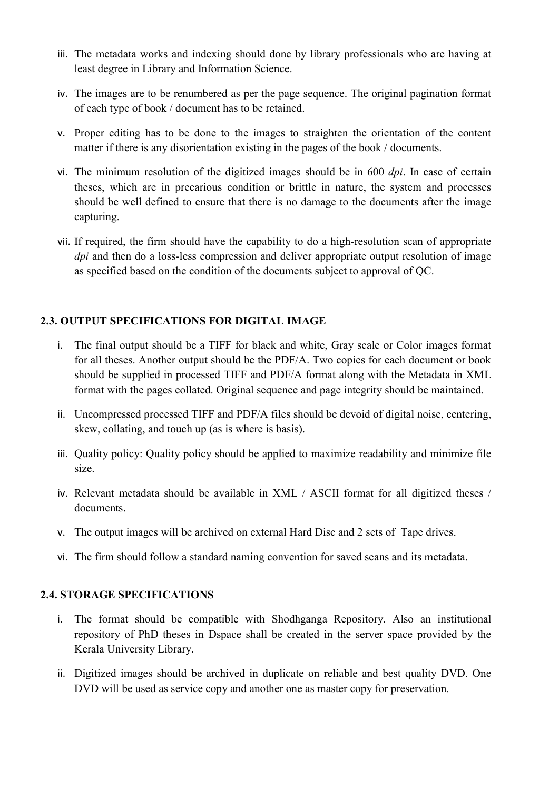- iii. The metadata works and indexing should done by library professionals who are having at least degree in Library and Information Science.
- iv. The images are to be renumbered as per the page sequence. The original pagination format of each type of book / document has to be retained.
- v. Proper editing has to be done to the images to straighten the orientation of the content matter if there is any disorientation existing in the pages of the book / documents.
- vi. The minimum resolution of the digitized images should be in 600 dpi. In case of certain theses, which are in precarious condition or brittle in nature, the system and processes should be well defined to ensure that there is no damage to the documents after the image capturing.
- vii. If required, the firm should have the capability to do a high-resolution scan of appropriate dpi and then do a loss-less compression and deliver appropriate output resolution of image as specified based on the condition of the documents subject to approval of QC.

### 2.3. OUTPUT SPECIFICATIONS FOR DIGITAL IMAGE

- i. The final output should be a TIFF for black and white, Gray scale or Color images format for all theses. Another output should be the PDF/A. Two copies for each document or book should be supplied in processed TIFF and PDF/A format along with the Metadata in XML format with the pages collated. Original sequence and page integrity should be maintained.
- ii. Uncompressed processed TIFF and PDF/A files should be devoid of digital noise, centering, skew, collating, and touch up (as is where is basis).
- iii. Quality policy: Quality policy should be applied to maximize readability and minimize file size.
- iv. Relevant metadata should be available in XML / ASCII format for all digitized theses / documents.
- v. The output images will be archived on external Hard Disc and 2 sets of Tape drives.
- vi. The firm should follow a standard naming convention for saved scans and its metadata.

### 2.4. STORAGE SPECIFICATIONS

- i. The format should be compatible with Shodhganga Repository. Also an institutional repository of PhD theses in Dspace shall be created in the server space provided by the Kerala University Library.
- ii. Digitized images should be archived in duplicate on reliable and best quality DVD. One DVD will be used as service copy and another one as master copy for preservation.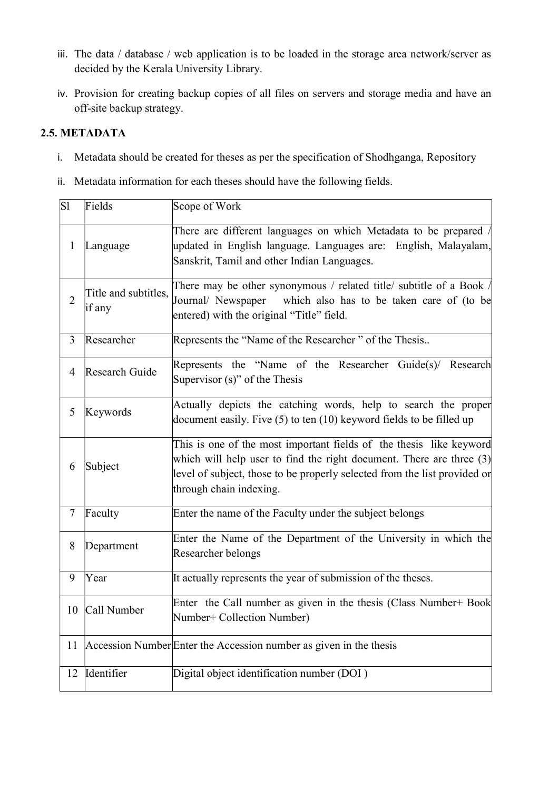- iii. The data / database / web application is to be loaded in the storage area network/server as decided by the Kerala University Library.
- iv. Provision for creating backup copies of all files on servers and storage media and have an off-site backup strategy.

# 2.5. METADATA

- i. Metadata should be created for theses as per the specification of Shodhganga, Repository
- ii. Metadata information for each theses should have the following fields.

| S1             | Fields                         | Scope of Work                                                                                                                                                                                                                                       |  |
|----------------|--------------------------------|-----------------------------------------------------------------------------------------------------------------------------------------------------------------------------------------------------------------------------------------------------|--|
| $\mathbf{1}$   | Language                       | There are different languages on which Metadata to be prepared /<br>updated in English language. Languages are: English, Malayalam,<br>Sanskrit, Tamil and other Indian Languages.                                                                  |  |
| $\overline{2}$ | Title and subtitles,<br>if any | There may be other synonymous / related title/ subtitle of a Book /<br>which also has to be taken care of (to be<br>Journal/ Newspaper<br>entered) with the original "Title" field.                                                                 |  |
| $\overline{3}$ | Researcher                     | Represents the "Name of the Researcher" of the Thesis                                                                                                                                                                                               |  |
| $\overline{4}$ | Research Guide                 | Represents the "Name of the Researcher Guide(s)/ Research<br>Supervisor $(s)$ " of the Thesis                                                                                                                                                       |  |
| 5              | Keywords                       | Actually depicts the catching words, help to search the proper<br>document easily. Five $(5)$ to ten $(10)$ keyword fields to be filled up                                                                                                          |  |
| 6              | Subject                        | This is one of the most important fields of the thesis like keyword<br>which will help user to find the right document. There are three (3)<br>level of subject, those to be properly selected from the list provided or<br>through chain indexing. |  |
| $\overline{7}$ | Faculty                        | Enter the name of the Faculty under the subject belongs                                                                                                                                                                                             |  |
| 8              | Department                     | Enter the Name of the Department of the University in which the<br>Researcher belongs                                                                                                                                                               |  |
| 9              | Year                           | It actually represents the year of submission of the theses.                                                                                                                                                                                        |  |
| 10             | Call Number                    | Enter the Call number as given in the thesis (Class Number+ Book<br>Number+ Collection Number)                                                                                                                                                      |  |
| 11             |                                | Accession Number Enter the Accession number as given in the thesis                                                                                                                                                                                  |  |
| 12             | Identifier                     | Digital object identification number (DOI)                                                                                                                                                                                                          |  |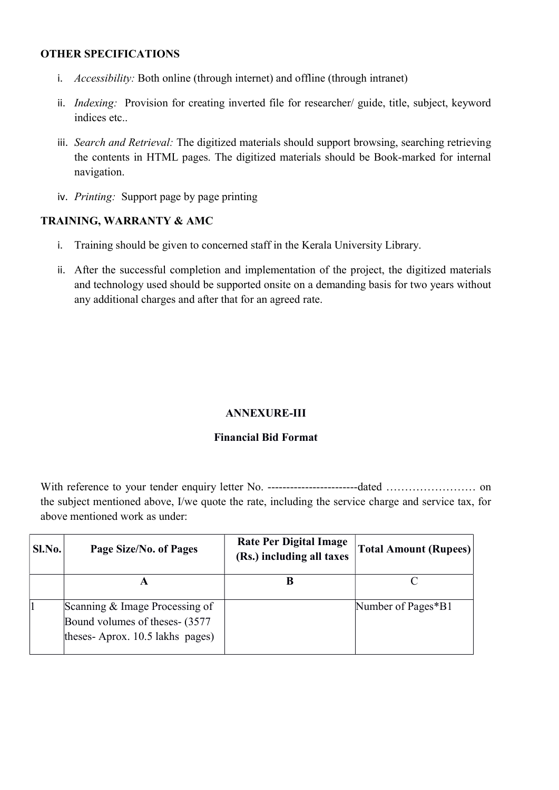#### OTHER SPECIFICATIONS

- i. Accessibility: Both online (through internet) and offline (through intranet)
- ii. Indexing: Provision for creating inverted file for researcher/ guide, title, subject, keyword indices etc..
- iii. Search and Retrieval: The digitized materials should support browsing, searching retrieving the contents in HTML pages. The digitized materials should be Book-marked for internal navigation.
- iv. Printing: Support page by page printing

### TRAINING, WARRANTY & AMC

- i. Training should be given to concerned staff in the Kerala University Library.
- ii. After the successful completion and implementation of the project, the digitized materials and technology used should be supported onsite on a demanding basis for two years without any additional charges and after that for an agreed rate.

### ANNEXURE-III

### Financial Bid Format

With reference to your tender enquiry letter No. ------------------------dated …………………… on the subject mentioned above, I/we quote the rate, including the service charge and service tax, for above mentioned work as under:

| SI.No. | Page Size/No. of Pages                                                                               | <b>Rate Per Digital Image</b><br>(Rs.) including all taxes | <b>Total Amount (Rupees)</b> |
|--------|------------------------------------------------------------------------------------------------------|------------------------------------------------------------|------------------------------|
|        |                                                                                                      |                                                            |                              |
|        | Scanning & Image Processing of<br>Bound volumes of theses- (3577)<br>theses-Aprox. 10.5 lakhs pages) |                                                            | Number of Pages*B1           |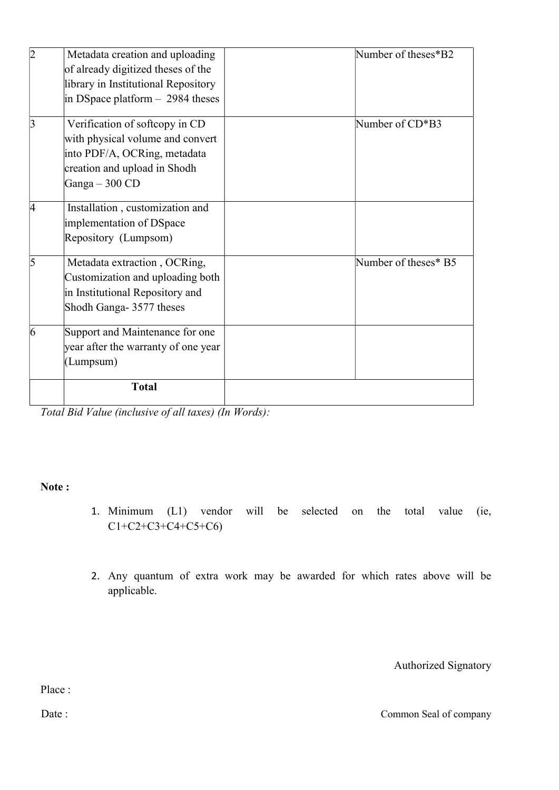|    | Metadata creation and uploading     | Number of theses*B2  |
|----|-------------------------------------|----------------------|
|    | of already digitized theses of the  |                      |
|    | library in Institutional Repository |                      |
|    | in DSpace platform $-2984$ theses   |                      |
| 3  | Verification of softcopy in CD      | Number of CD*B3      |
|    | with physical volume and convert    |                      |
|    | into PDF/A, OCRing, metadata        |                      |
|    | creation and upload in Shodh        |                      |
|    | Ganga $-300$ CD                     |                      |
| 14 | Installation, customization and     |                      |
|    | implementation of DSpace            |                      |
|    | Repository (Lumpsom)                |                      |
| 5  | Metadata extraction, OCRing,        | Number of theses* B5 |
|    | Customization and uploading both    |                      |
|    | in Institutional Repository and     |                      |
|    | Shodh Ganga- 3577 theses            |                      |
| 6  | Support and Maintenance for one     |                      |
|    | year after the warranty of one year |                      |
|    | (Lumpsum)                           |                      |
|    | <b>Total</b>                        |                      |
|    |                                     |                      |

Total Bid Value (inclusive of all taxes) (In Words):

#### Note :

- 1. Minimum (L1) vendor will be selected on the total value (ie, C1+C2+C3+C4+C5+C6)
- 2. Any quantum of extra work may be awarded for which rates above will be applicable.

Authorized Signatory

Place :

Date : Common Seal of company